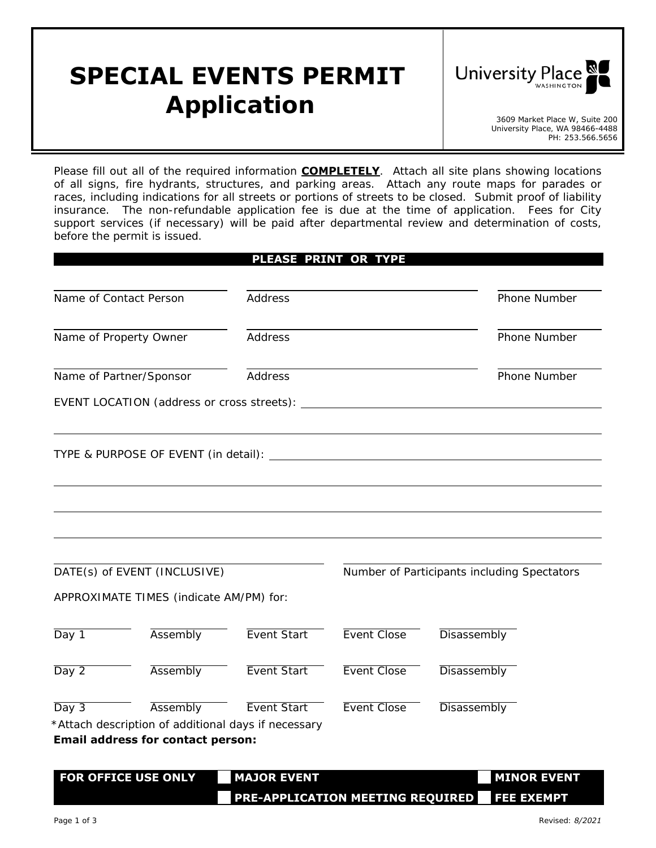## **SPECIAL EVENTS PERMIT**  *Application* 3609 Market Place W, Suite 200



University Place, WA 98466-4488 PH: 253.566.5656

Please fill out all of the required information **COMPLETELY**. Attach all site plans showing locations of all signs, fire hydrants, structures, and parking areas. Attach any route maps for parades or races, including indications for all streets or portions of streets to be closed. Submit proof of liability insurance. The non-refundable application fee is due at the time of application. Fees for City support services (if necessary) will be paid after departmental review and determination of costs, before the permit is issued.

|       |                                                                                                 |                    | PLEASE PRINT OR TYPE |                                             |
|-------|-------------------------------------------------------------------------------------------------|--------------------|----------------------|---------------------------------------------|
|       | Name of Contact Person                                                                          | <b>Address</b>     |                      | Phone Number                                |
|       | Name of Property Owner                                                                          | Address            |                      | Phone Number                                |
|       | Name of Partner/Sponsor                                                                         | Address            |                      | Phone Number                                |
|       |                                                                                                 |                    |                      |                                             |
|       |                                                                                                 |                    |                      |                                             |
|       |                                                                                                 |                    |                      |                                             |
|       | DATE(s) of EVENT (INCLUSIVE)                                                                    |                    |                      | Number of Participants including Spectators |
|       | APPROXIMATE TIMES (indicate AM/PM) for:                                                         |                    |                      |                                             |
| Day 1 | Assembly                                                                                        | Event Start        | Event Close          | Disassembly                                 |
| Day 2 | Assembly                                                                                        | Event Start        | Event Close          | Disassembly                                 |
| Day 3 | Assembly                                                                                        | <b>Event Start</b> | Event Close          | Disassembly                                 |
|       | *Attach description of additional days if necessary<br><b>Email address for contact person:</b> |                    |                      |                                             |
|       |                                                                                                 |                    |                      |                                             |
|       | FOR OFFICE USE ONLY                                                                             | <b>MAJOR EVENT</b> |                      | <b>MINOR EVENT</b>                          |

**□□ PRE-APPLICATION MEETING REQUIRED □□ FEE EXEMPT**

Page 1 of 3 *Revised: 8/2021*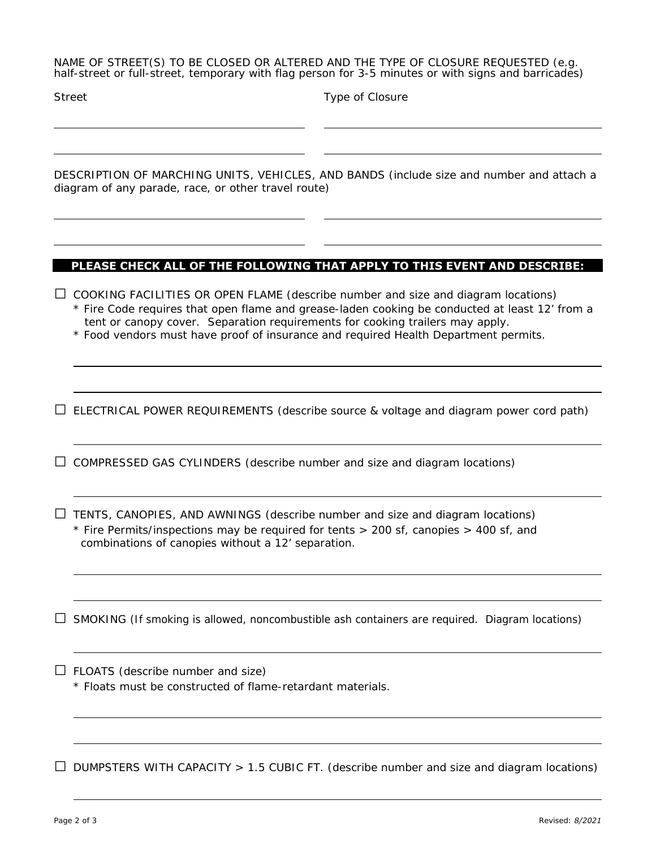NAME OF STREET(S) TO BE CLOSED OR ALTERED AND THE TYPE OF CLOSURE REQUESTED (e.g. half-street or full-street, temporary with flag person for 3-5 minutes or with signs and barricades)

Type of Closure

DESCRIPTION OF MARCHING UNITS, VEHICLES, AND BANDS (include size and number and attach a diagram of any parade, race, or other travel route)

## **PLEASE CHECK ALL OF THE FOLLOWING THAT APPLY TO THIS EVENT AND DESCRIBE:**

**□** COOKING FACILITIES OR OPEN FLAME (describe number and size and diagram locations)

\* Fire Code requires that open flame and grease-laden cooking be conducted at least 12' from a tent or canopy cover. Separation requirements for cooking trailers may apply.

\* Food vendors must have proof of insurance and required Health Department permits.

**□** ELECTRICAL POWER REQUIREMENTS (describe source & voltage and diagram power cord path)

**□** COMPRESSED GAS CYLINDERS (describe number and size and diagram locations)

**□** TENTS, CANOPIES, AND AWNINGS (describe number and size and diagram locations) \* Fire Permits/inspections may be required for tents > 200 sf, canopies > 400 sf, and combinations of canopies without a 12' separation.

**□** SMOKING (If smoking is allowed, noncombustible ash containers are required. Diagram locations)

**□** FLOATS (describe number and size)

\* Floats must be constructed of flame-retardant materials.

**□** DUMPSTERS WITH CAPACITY > 1.5 CUBIC FT. (describe number and size and diagram locations)